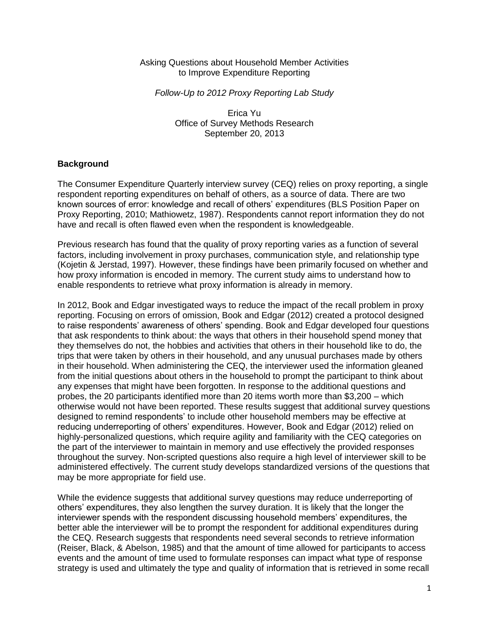#### Asking Questions about Household Member Activities to Improve Expenditure Reporting

### *Follow-Up to 2012 Proxy Reporting Lab Study*

Erica Yu Office of Survey Methods Research September 20, 2013

# **Background**

The Consumer Expenditure Quarterly interview survey (CEQ) relies on proxy reporting, a single respondent reporting expenditures on behalf of others, as a source of data. There are two known sources of error: knowledge and recall of others' expenditures (BLS Position Paper on Proxy Reporting, 2010; Mathiowetz, 1987). Respondents cannot report information they do not have and recall is often flawed even when the respondent is knowledgeable.

Previous research has found that the quality of proxy reporting varies as a function of several factors, including involvement in proxy purchases, communication style, and relationship type (Kojetin & Jerstad, 1997). However, these findings have been primarily focused on whether and how proxy information is encoded in memory. The current study aims to understand how to enable respondents to retrieve what proxy information is already in memory.

In 2012, Book and Edgar investigated ways to reduce the impact of the recall problem in proxy reporting. Focusing on errors of omission, Book and Edgar (2012) created a protocol designed to raise respondents' awareness of others' spending. Book and Edgar developed four questions that ask respondents to think about: the ways that others in their household spend money that they themselves do not, the hobbies and activities that others in their household like to do, the trips that were taken by others in their household, and any unusual purchases made by others in their household. When administering the CEQ, the interviewer used the information gleaned from the initial questions about others in the household to prompt the participant to think about any expenses that might have been forgotten. In response to the additional questions and probes, the 20 participants identified more than 20 items worth more than \$3,200 – which otherwise would not have been reported. These results suggest that additional survey questions designed to remind respondents' to include other household members may be effective at reducing underreporting of others' expenditures. However, Book and Edgar (2012) relied on highly-personalized questions, which require agility and familiarity with the CEQ categories on the part of the interviewer to maintain in memory and use effectively the provided responses throughout the survey. Non-scripted questions also require a high level of interviewer skill to be administered effectively. The current study develops standardized versions of the questions that may be more appropriate for field use.

While the evidence suggests that additional survey questions may reduce underreporting of others' expenditures, they also lengthen the survey duration. It is likely that the longer the interviewer spends with the respondent discussing household members' expenditures, the better able the interviewer will be to prompt the respondent for additional expenditures during the CEQ. Research suggests that respondents need several seconds to retrieve information (Reiser, Black, & Abelson, 1985) and that the amount of time allowed for participants to access events and the amount of time used to formulate responses can impact what type of response strategy is used and ultimately the type and quality of information that is retrieved in some recall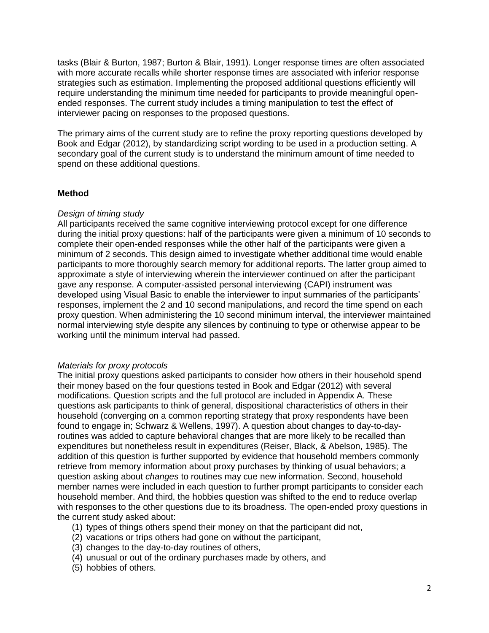tasks (Blair & Burton, 1987; Burton & Blair, 1991). Longer response times are often associated with more accurate recalls while shorter response times are associated with inferior response strategies such as estimation. Implementing the proposed additional questions efficiently will require understanding the minimum time needed for participants to provide meaningful openended responses. The current study includes a timing manipulation to test the effect of interviewer pacing on responses to the proposed questions.

The primary aims of the current study are to refine the proxy reporting questions developed by Book and Edgar (2012), by standardizing script wording to be used in a production setting. A secondary goal of the current study is to understand the minimum amount of time needed to spend on these additional questions.

## **Method**

#### *Design of timing study*

All participants received the same cognitive interviewing protocol except for one difference during the initial proxy questions: half of the participants were given a minimum of 10 seconds to complete their open-ended responses while the other half of the participants were given a minimum of 2 seconds. This design aimed to investigate whether additional time would enable participants to more thoroughly search memory for additional reports. The latter group aimed to approximate a style of interviewing wherein the interviewer continued on after the participant gave any response. A computer-assisted personal interviewing (CAPI) instrument was developed using Visual Basic to enable the interviewer to input summaries of the participants' responses, implement the 2 and 10 second manipulations, and record the time spend on each proxy question. When administering the 10 second minimum interval, the interviewer maintained normal interviewing style despite any silences by continuing to type or otherwise appear to be working until the minimum interval had passed.

#### *Materials for proxy protocols*

The initial proxy questions asked participants to consider how others in their household spend their money based on the four questions tested in Book and Edgar (2012) with several modifications. Question scripts and the full protocol are included in Appendix A. These questions ask participants to think of general, dispositional characteristics of others in their household (converging on a common reporting strategy that proxy respondents have been found to engage in; Schwarz & Wellens, 1997). A question about changes to day-to-dayroutines was added to capture behavioral changes that are more likely to be recalled than expenditures but nonetheless result in expenditures (Reiser, Black, & Abelson, 1985). The addition of this question is further supported by evidence that household members commonly retrieve from memory information about proxy purchases by thinking of usual behaviors; a question asking about *changes* to routines may cue new information. Second, household member names were included in each question to further prompt participants to consider each household member. And third, the hobbies question was shifted to the end to reduce overlap with responses to the other questions due to its broadness. The open-ended proxy questions in the current study asked about:

- (1) types of things others spend their money on that the participant did not,
- (2) vacations or trips others had gone on without the participant,
- (3) changes to the day-to-day routines of others,
- (4) unusual or out of the ordinary purchases made by others, and
- (5) hobbies of others.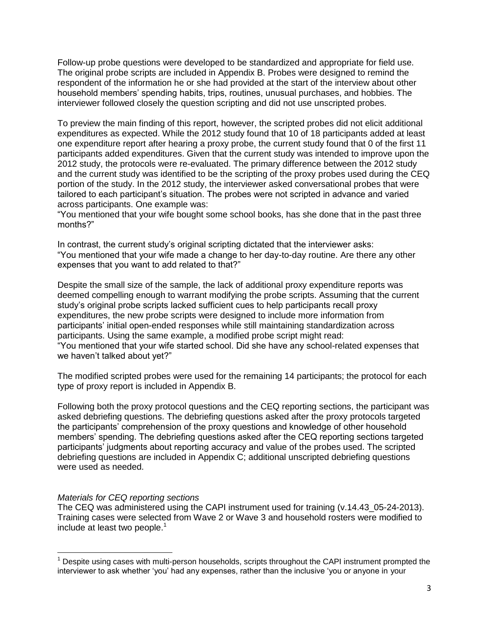Follow-up probe questions were developed to be standardized and appropriate for field use. The original probe scripts are included in Appendix B. Probes were designed to remind the respondent of the information he or she had provided at the start of the interview about other household members' spending habits, trips, routines, unusual purchases, and hobbies. The interviewer followed closely the question scripting and did not use unscripted probes.

To preview the main finding of this report, however, the scripted probes did not elicit additional expenditures as expected. While the 2012 study found that 10 of 18 participants added at least one expenditure report after hearing a proxy probe, the current study found that 0 of the first 11 participants added expenditures. Given that the current study was intended to improve upon the 2012 study, the protocols were re-evaluated. The primary difference between the 2012 study and the current study was identified to be the scripting of the proxy probes used during the CEQ portion of the study. In the 2012 study, the interviewer asked conversational probes that were tailored to each participant's situation. The probes were not scripted in advance and varied across participants. One example was:

"You mentioned that your wife bought some school books, has she done that in the past three months?"

In contrast, the current study's original scripting dictated that the interviewer asks: "You mentioned that your wife made a change to her day-to-day routine. Are there any other expenses that you want to add related to that?"

Despite the small size of the sample, the lack of additional proxy expenditure reports was deemed compelling enough to warrant modifying the probe scripts. Assuming that the current study's original probe scripts lacked sufficient cues to help participants recall proxy expenditures, the new probe scripts were designed to include more information from participants' initial open-ended responses while still maintaining standardization across participants. Using the same example, a modified probe script might read: ―You mentioned that your wife started school. Did she have any school-related expenses that we haven't talked about yet?"

The modified scripted probes were used for the remaining 14 participants; the protocol for each type of proxy report is included in Appendix B.

Following both the proxy protocol questions and the CEQ reporting sections, the participant was asked debriefing questions. The debriefing questions asked after the proxy protocols targeted the participants' comprehension of the proxy questions and knowledge of other household members' spending. The debriefing questions asked after the CEQ reporting sections targeted participants' judgments about reporting accuracy and value of the probes used. The scripted debriefing questions are included in Appendix C; additional unscripted debriefing questions were used as needed.

#### *Materials for CEQ reporting sections*

 $\overline{\phantom{a}}$ 

The CEQ was administered using the CAPI instrument used for training (v.14.43\_05-24-2013). Training cases were selected from Wave 2 or Wave 3 and household rosters were modified to include at least two people. $<sup>1</sup>$ </sup>

 $<sup>1</sup>$  Despite using cases with multi-person households, scripts throughout the CAPI instrument prompted the</sup> interviewer to ask whether 'you' had any expenses, rather than the inclusive 'you or anyone in your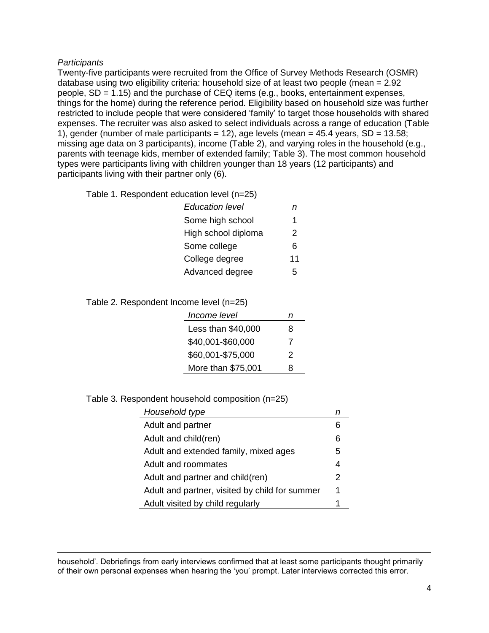## *Participants*

 $\overline{\phantom{a}}$ 

Twenty-five participants were recruited from the Office of Survey Methods Research (OSMR) database using two eligibility criteria: household size of at least two people (mean = 2.92 people, SD = 1.15) and the purchase of CEQ items (e.g., books, entertainment expenses, things for the home) during the reference period. Eligibility based on household size was further restricted to include people that were considered 'family' to target those households with shared expenses. The recruiter was also asked to select individuals across a range of education (Table 1), gender (number of male participants = 12), age levels (mean =  $45.4$  years, SD = 13.58; missing age data on 3 participants), income (Table 2), and varying roles in the household (e.g., parents with teenage kids, member of extended family; Table 3). The most common household types were participants living with children younger than 18 years (12 participants) and participants living with their partner only (6).

Table 1. Respondent education level (n=25)

| <b>Education level</b> |    |
|------------------------|----|
| Some high school       | 1  |
| High school diploma    | 2  |
| Some college           | ิค |
| College degree         | 11 |
| Advanced degree        | 5  |

Table 2. Respondent Income level (n=25)

| Income level       | n |
|--------------------|---|
| Less than \$40,000 | 8 |
| \$40,001-\$60,000  | 7 |
| \$60,001-\$75,000  | 2 |
| More than \$75,001 | 8 |

Table 3. Respondent household composition (n=25)

| Household type                                 |   |
|------------------------------------------------|---|
| Adult and partner                              |   |
| Adult and child(ren)                           | 6 |
| Adult and extended family, mixed ages          | 5 |
| Adult and roommates                            | 4 |
| Adult and partner and child(ren)               | 2 |
| Adult and partner, visited by child for summer | 1 |
| Adult visited by child regularly               |   |

household'. Debriefings from early interviews confirmed that at least some participants thought primarily of their own personal expenses when hearing the 'you' prompt. Later interviews corrected this error.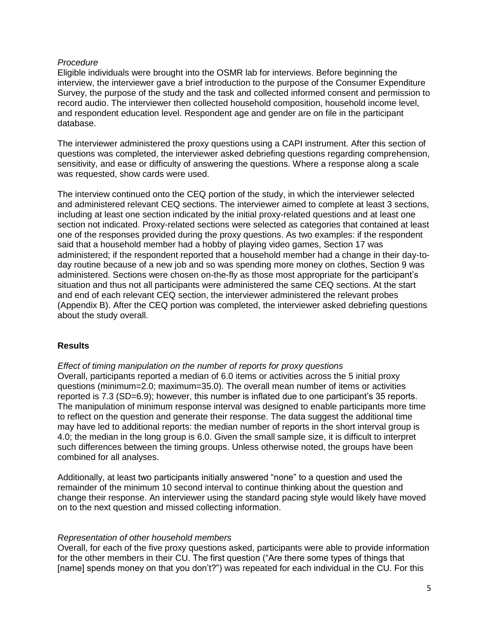## *Procedure*

Eligible individuals were brought into the OSMR lab for interviews. Before beginning the interview, the interviewer gave a brief introduction to the purpose of the Consumer Expenditure Survey, the purpose of the study and the task and collected informed consent and permission to record audio. The interviewer then collected household composition, household income level, and respondent education level. Respondent age and gender are on file in the participant database.

The interviewer administered the proxy questions using a CAPI instrument. After this section of questions was completed, the interviewer asked debriefing questions regarding comprehension, sensitivity, and ease or difficulty of answering the questions. Where a response along a scale was requested, show cards were used.

The interview continued onto the CEQ portion of the study, in which the interviewer selected and administered relevant CEQ sections. The interviewer aimed to complete at least 3 sections, including at least one section indicated by the initial proxy-related questions and at least one section not indicated. Proxy-related sections were selected as categories that contained at least one of the responses provided during the proxy questions. As two examples: if the respondent said that a household member had a hobby of playing video games, Section 17 was administered; if the respondent reported that a household member had a change in their day-today routine because of a new job and so was spending more money on clothes, Section 9 was administered. Sections were chosen on-the-fly as those most appropriate for the participant's situation and thus not all participants were administered the same CEQ sections. At the start and end of each relevant CEQ section, the interviewer administered the relevant probes (Appendix B). After the CEQ portion was completed, the interviewer asked debriefing questions about the study overall.

# **Results**

#### *Effect of timing manipulation on the number of reports for proxy questions*

Overall, participants reported a median of 6.0 items or activities across the 5 initial proxy questions (minimum=2.0; maximum=35.0). The overall mean number of items or activities reported is 7.3 (SD=6.9); however, this number is inflated due to one participant's 35 reports. The manipulation of minimum response interval was designed to enable participants more time to reflect on the question and generate their response. The data suggest the additional time may have led to additional reports: the median number of reports in the short interval group is 4.0; the median in the long group is 6.0. Given the small sample size, it is difficult to interpret such differences between the timing groups. Unless otherwise noted, the groups have been combined for all analyses.

Additionally, at least two participants initially answered "none" to a question and used the remainder of the minimum 10 second interval to continue thinking about the question and change their response. An interviewer using the standard pacing style would likely have moved on to the next question and missed collecting information.

#### *Representation of other household members*

Overall, for each of the five proxy questions asked, participants were able to provide information for the other members in their CU. The first question ("Are there some types of things that [name] spends money on that you don't?") was repeated for each individual in the CU. For this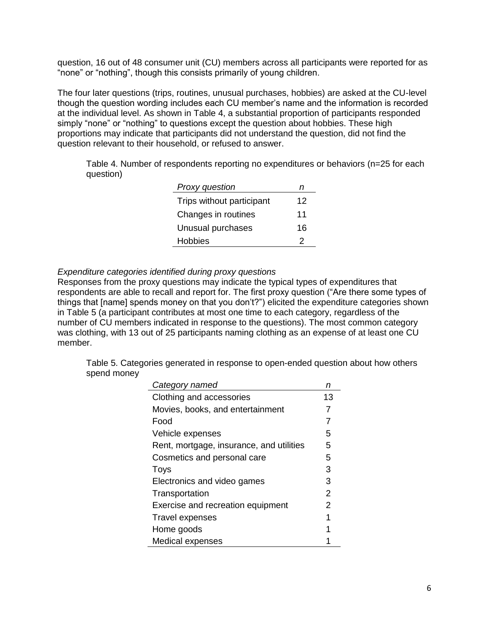question, 16 out of 48 consumer unit (CU) members across all participants were reported for as "none" or "nothing", though this consists primarily of young children.

The four later questions (trips, routines, unusual purchases, hobbies) are asked at the CU-level though the question wording includes each CU member's name and the information is recorded at the individual level. As shown in Table 4, a substantial proportion of participants responded simply "none" or "nothing" to questions except the question about hobbies. These high proportions may indicate that participants did not understand the question, did not find the question relevant to their household, or refused to answer.

Table 4. Number of respondents reporting no expenditures or behaviors (n=25 for each question)

| Proxy question            | n  |
|---------------------------|----|
| Trips without participant | 12 |
| Changes in routines       | 11 |
| Unusual purchases         | 16 |
| <b>Hobbies</b>            | 2  |

#### *Expenditure categories identified during proxy questions*

Responses from the proxy questions may indicate the typical types of expenditures that respondents are able to recall and report for. The first proxy question ("Are there some types of things that [name] spends money on that you don't?") elicited the expenditure categories shown in Table 5 (a participant contributes at most one time to each category, regardless of the number of CU members indicated in response to the questions). The most common category was clothing, with 13 out of 25 participants naming clothing as an expense of at least one CU member.

Table 5. Categories generated in response to open-ended question about how others spend money

| Category named                           | n  |
|------------------------------------------|----|
| Clothing and accessories                 | 13 |
| Movies, books, and entertainment         | 7  |
| Food                                     | 7  |
| Vehicle expenses                         | 5  |
| Rent, mortgage, insurance, and utilities | 5  |
| Cosmetics and personal care              | 5  |
| Toys                                     | 3  |
| Electronics and video games              | 3  |
| Transportation                           | 2  |
| Exercise and recreation equipment        | 2  |
| <b>Travel expenses</b>                   | 1  |
| Home goods                               |    |
| Medical expenses                         |    |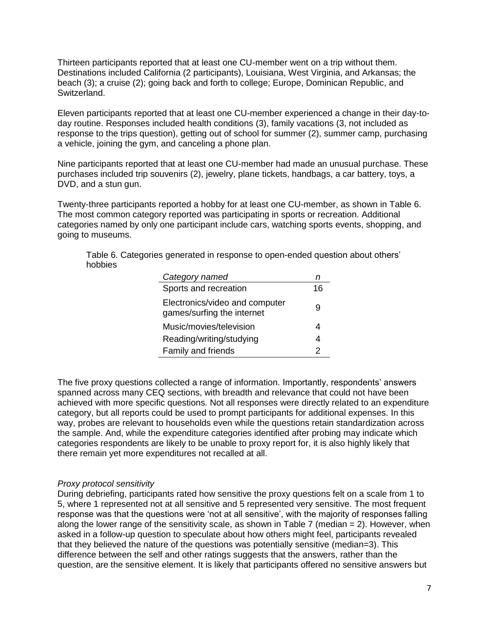Thirteen participants reported that at least one CU-member went on a trip without them. Destinations included California (2 participants), Louisiana, West Virginia, and Arkansas; the beach (3); a cruise (2); going back and forth to college; Europe, Dominican Republic, and Switzerland.

Eleven participants reported that at least one CU-member experienced a change in their day-today routine. Responses included health conditions (3), family vacations (3, not included as response to the trips question), getting out of school for summer (2), summer camp, purchasing a vehicle, joining the gym, and canceling a phone plan.

Nine participants reported that at least one CU-member had made an unusual purchase. These purchases included trip souvenirs (2), jewelry, plane tickets, handbags, a car battery, toys, a DVD, and a stun gun.

Twenty-three participants reported a hobby for at least one CU-member, as shown in Table 6. The most common category reported was participating in sports or recreation. Additional categories named by only one participant include cars, watching sports events, shopping, and going to museums.

Table 6. Categories generated in response to open-ended question about others' hobbies

| Category named                                               |    |
|--------------------------------------------------------------|----|
| Sports and recreation                                        | 16 |
| Electronics/video and computer<br>games/surfing the internet | 9  |
| Music/movies/television                                      | 4  |
| Reading/writing/studying                                     | 4  |
| Family and friends                                           |    |

The five proxy questions collected a range of information. Importantly, respondents' answers spanned across many CEQ sections, with breadth and relevance that could not have been achieved with more specific questions. Not all responses were directly related to an expenditure category, but all reports could be used to prompt participants for additional expenses. In this way, probes are relevant to households even while the questions retain standardization across the sample. And, while the expenditure categories identified after probing may indicate which categories respondents are likely to be unable to proxy report for, it is also highly likely that there remain yet more expenditures not recalled at all.

#### *Proxy protocol sensitivity*

During debriefing, participants rated how sensitive the proxy questions felt on a scale from 1 to 5, where 1 represented not at all sensitive and 5 represented very sensitive. The most frequent response was that the questions were 'not at all sensitive', with the majority of responses falling along the lower range of the sensitivity scale, as shown in Table 7 (median  $= 2$ ). However, when asked in a follow-up question to speculate about how others might feel, participants revealed that they believed the nature of the questions was potentially sensitive (median=3). This difference between the self and other ratings suggests that the answers, rather than the question, are the sensitive element. It is likely that participants offered no sensitive answers but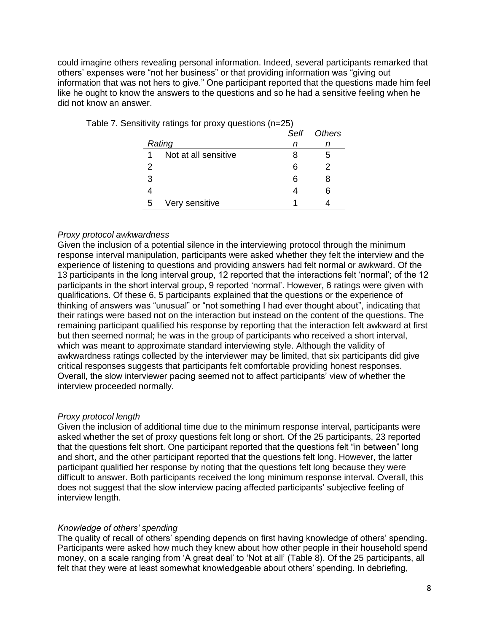could imagine others revealing personal information. Indeed, several participants remarked that others' expenses were "not her business" or that providing information was "giving out information that was not hers to give." One participant reported that the questions made him feel like he ought to know the answers to the questions and so he had a sensitive feeling when he did not know an answer.

|   |                      | Self | Others |
|---|----------------------|------|--------|
|   | Rating               | n    |        |
| 1 | Not at all sensitive | 8    | 5      |
| 2 |                      | 6    | 2      |
| 3 |                      | 6    | 8      |
|   |                      |      | ิค     |
| 5 | Very sensitive       |      |        |

Table 7. Sensitivity ratings for proxy questions (n=25)

## *Proxy protocol awkwardness*

Given the inclusion of a potential silence in the interviewing protocol through the minimum response interval manipulation, participants were asked whether they felt the interview and the experience of listening to questions and providing answers had felt normal or awkward. Of the 13 participants in the long interval group, 12 reported that the interactions felt 'normal'; of the 12 participants in the short interval group, 9 reported 'normal'. However, 6 ratings were given with qualifications. Of these 6, 5 participants explained that the questions or the experience of thinking of answers was "unusual" or "not something I had ever thought about", indicating that their ratings were based not on the interaction but instead on the content of the questions. The remaining participant qualified his response by reporting that the interaction felt awkward at first but then seemed normal; he was in the group of participants who received a short interval, which was meant to approximate standard interviewing style. Although the validity of awkwardness ratings collected by the interviewer may be limited, that six participants did give critical responses suggests that participants felt comfortable providing honest responses. Overall, the slow interviewer pacing seemed not to affect participants' view of whether the interview proceeded normally.

# *Proxy protocol length*

Given the inclusion of additional time due to the minimum response interval, participants were asked whether the set of proxy questions felt long or short. Of the 25 participants, 23 reported that the questions felt short. One participant reported that the questions felt "in between" long and short, and the other participant reported that the questions felt long. However, the latter participant qualified her response by noting that the questions felt long because they were difficult to answer. Both participants received the long minimum response interval. Overall, this does not suggest that the slow interview pacing affected participants' subjective feeling of interview length.

#### *Knowledge of others' spending*

The quality of recall of others' spending depends on first having knowledge of others' spending. Participants were asked how much they knew about how other people in their household spend money, on a scale ranging from 'A great deal' to 'Not at all' (Table 8). Of the 25 participants, all felt that they were at least somewhat knowledgeable about others' spending. In debriefing,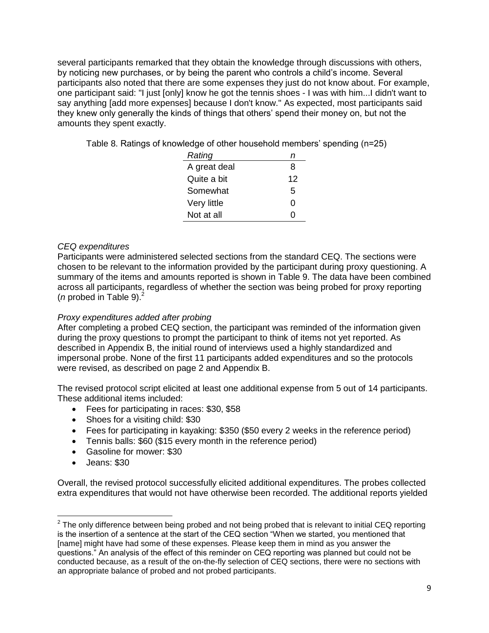several participants remarked that they obtain the knowledge through discussions with others, by noticing new purchases, or by being the parent who controls a child's income. Several participants also noted that there are some expenses they just do not know about. For example, one participant said: "I just [only] know he got the tennis shoes - I was with him...I didn't want to say anything [add more expenses] because I don't know." As expected, most participants said they knew only generally the kinds of things that others' spend their money on, but not the amounts they spent exactly.

Table 8. Ratings of knowledge of other household members' spending (n=25)

| Rating       | п  |
|--------------|----|
| A great deal | 8  |
| Quite a bit  | 12 |
| Somewhat     | 5  |
| Very little  | O  |
| Not at all   | 0  |

# *CEQ expenditures*

Participants were administered selected sections from the standard CEQ. The sections were chosen to be relevant to the information provided by the participant during proxy questioning. A summary of the items and amounts reported is shown in Table 9. The data have been combined across all participants, regardless of whether the section was being probed for proxy reporting (*n* probed in Table 9). $<sup>2</sup>$ </sup>

# *Proxy expenditures added after probing*

After completing a probed CEQ section, the participant was reminded of the information given during the proxy questions to prompt the participant to think of items not yet reported. As described in Appendix B, the initial round of interviews used a highly standardized and impersonal probe. None of the first 11 participants added expenditures and so the protocols were revised, as described on page 2 and Appendix B.

The revised protocol script elicited at least one additional expense from 5 out of 14 participants. These additional items included:

- Fees for participating in races: \$30, \$58
- Shoes for a visiting child: \$30
- Fees for participating in kayaking: \$350 (\$50 every 2 weeks in the reference period)
- Tennis balls: \$60 (\$15 every month in the reference period)
- Gasoline for mower: \$30
- Jeans: \$30

Overall, the revised protocol successfully elicited additional expenditures. The probes collected extra expenditures that would not have otherwise been recorded. The additional reports yielded

 2 The only difference between being probed and not being probed that is relevant to initial CEQ reporting is the insertion of a sentence at the start of the CEQ section "When we started, you mentioned that [name] might have had some of these expenses. Please keep them in mind as you answer the questions.‖ An analysis of the effect of this reminder on CEQ reporting was planned but could not be conducted because, as a result of the on-the-fly selection of CEQ sections, there were no sections with an appropriate balance of probed and not probed participants.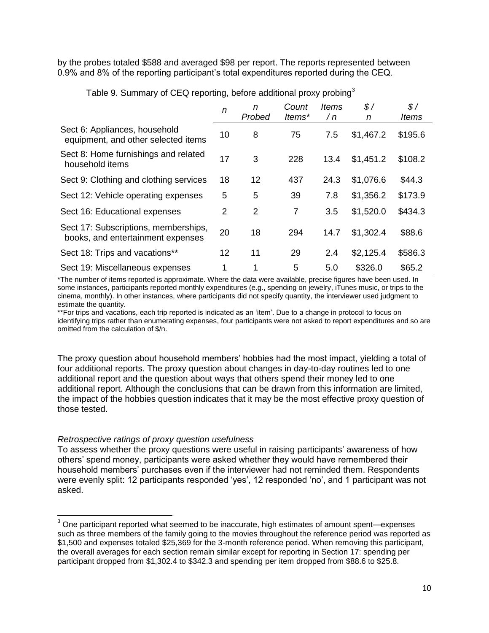by the probes totaled \$588 and averaged \$98 per report. The reports represented between 0.9% and 8% of the reporting participant's total expenditures reported during the CEQ.

|                                                                           | n  | n<br>Probed    | Count<br>ltems* | ltems<br>/n | $\frac{s}{2}$<br>n | $\mathcal{S}$ /<br><i>Items</i> |
|---------------------------------------------------------------------------|----|----------------|-----------------|-------------|--------------------|---------------------------------|
| Sect 6: Appliances, household<br>equipment, and other selected items      | 10 | 8              | 75              | 7.5         | \$1,467.2          | \$195.6                         |
| Sect 8: Home furnishings and related<br>household items                   | 17 | 3              | 228             | 13.4        | \$1,451.2          | \$108.2                         |
| Sect 9: Clothing and clothing services                                    | 18 | 12             | 437             | 24.3        | \$1,076.6          | \$44.3                          |
| Sect 12: Vehicle operating expenses                                       | 5  | 5              | 39              | 7.8         | \$1,356.2          | \$173.9                         |
| Sect 16: Educational expenses                                             | 2  | $\overline{2}$ | 7               | 3.5         | \$1,520.0          | \$434.3                         |
| Sect 17: Subscriptions, memberships,<br>books, and entertainment expenses | 20 | 18             | 294             | 14.7        | \$1,302.4          | \$88.6                          |
| Sect 18: Trips and vacations**                                            | 12 | 11             | 29              | 2.4         | \$2,125.4          | \$586.3                         |
| Sect 19: Miscellaneous expenses                                           |    | 1              | 5               | 5.0         | \$326.0            | \$65.2                          |

Table 9. Summary of CEQ reporting, before additional proxy probing<sup>3</sup>

\*The number of items reported is approximate. Where the data were available, precise figures have been used. In some instances, participants reported monthly expenditures (e.g., spending on jewelry, iTunes music, or trips to the cinema, monthly). In other instances, where participants did not specify quantity, the interviewer used judgment to estimate the quantity.

\*\*For trips and vacations, each trip reported is indicated as an 'item'. Due to a change in protocol to focus on identifying trips rather than enumerating expenses, four participants were not asked to report expenditures and so are omitted from the calculation of \$/n.

The proxy question about household members' hobbies had the most impact, yielding a total of four additional reports. The proxy question about changes in day-to-day routines led to one additional report and the question about ways that others spend their money led to one additional report. Although the conclusions that can be drawn from this information are limited, the impact of the hobbies question indicates that it may be the most effective proxy question of those tested.

#### *Retrospective ratings of proxy question usefulness*

l

To assess whether the proxy questions were useful in raising participants' awareness of how others' spend money, participants were asked whether they would have remembered their household members' purchases even if the interviewer had not reminded them. Respondents were evenly split: 12 participants responded 'yes', 12 responded 'no', and 1 participant was not asked.

 $3$  One participant reported what seemed to be inaccurate, high estimates of amount spent—expenses such as three members of the family going to the movies throughout the reference period was reported as \$1,500 and expenses totaled \$25,369 for the 3-month reference period. When removing this participant, the overall averages for each section remain similar except for reporting in Section 17: spending per participant dropped from \$1,302.4 to \$342.3 and spending per item dropped from \$88.6 to \$25.8.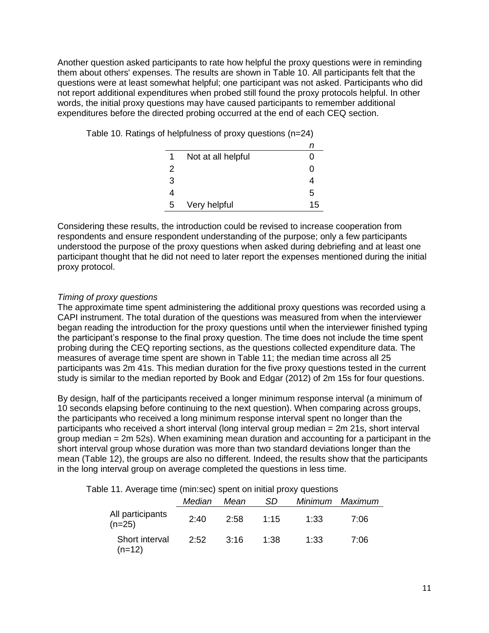Another question asked participants to rate how helpful the proxy questions were in reminding them about others' expenses. The results are shown in Table 10. All participants felt that the questions were at least somewhat helpful; one participant was not asked. Participants who did not report additional expenditures when probed still found the proxy protocols helpful. In other words, the initial proxy questions may have caused participants to remember additional expenditures before the directed probing occurred at the end of each CEQ section.

|  |  | Table 10. Ratings of helpfulness of proxy questions (n=24) |  |  |  |
|--|--|------------------------------------------------------------|--|--|--|
|--|--|------------------------------------------------------------|--|--|--|

| 1 | Not at all helpful |    |
|---|--------------------|----|
| 2 |                    |    |
| 3 |                    |    |
| 4 |                    | 5  |
| 5 | Very helpful       | 15 |

Considering these results, the introduction could be revised to increase cooperation from respondents and ensure respondent understanding of the purpose; only a few participants understood the purpose of the proxy questions when asked during debriefing and at least one participant thought that he did not need to later report the expenses mentioned during the initial proxy protocol.

## *Timing of proxy questions*

The approximate time spent administering the additional proxy questions was recorded using a CAPI instrument. The total duration of the questions was measured from when the interviewer began reading the introduction for the proxy questions until when the interviewer finished typing the participant's response to the final proxy question. The time does not include the time spent probing during the CEQ reporting sections, as the questions collected expenditure data. The measures of average time spent are shown in Table 11; the median time across all 25 participants was 2m 41s. This median duration for the five proxy questions tested in the current study is similar to the median reported by Book and Edgar (2012) of 2m 15s for four questions.

By design, half of the participants received a longer minimum response interval (a minimum of 10 seconds elapsing before continuing to the next question). When comparing across groups, the participants who received a long minimum response interval spent no longer than the participants who received a short interval (long interval group median = 2m 21s, short interval group median  $= 2m$  52s). When examining mean duration and accounting for a participant in the short interval group whose duration was more than two standard deviations longer than the mean (Table 12), the groups are also no different. Indeed, the results show that the participants in the long interval group on average completed the questions in less time.

Table 11. Average time (min:sec) spent on initial proxy questions

|                              | Median | Mean | SD   |      | Minimum Maximum |
|------------------------------|--------|------|------|------|-----------------|
| All participants<br>$(n=25)$ | 2:40   | 2:58 | 1:15 | 1:33 | 7:06            |
| Short interval<br>(n=12)     | 2:52   | 3.16 | 1:38 | 1:33 | 7:06            |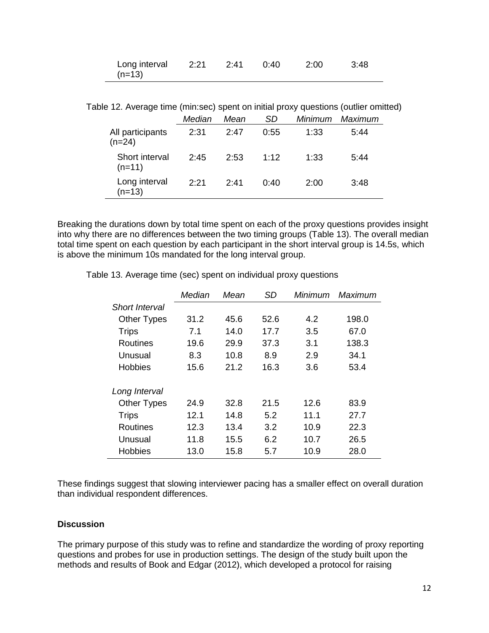| Long interval |  | 0:40 | - 2:00 | - 3:48 |
|---------------|--|------|--------|--------|
| (n=13)        |  |      |        |        |

Table 12. Average time (min:sec) spent on initial proxy questions (outlier omitted)

|                              | Median | Mean | SD   | Minimum | Maximum |
|------------------------------|--------|------|------|---------|---------|
| All participants<br>$(n=24)$ | 2:31   | 2:47 | 0:55 | 1:33    | 5:44    |
| Short interval<br>$(n=11)$   | 2.45   | 2:53 | 1:12 | 1:33    | 5:44    |
| Long interval<br>$(n=13)$    | 2.21   | 2.41 | 0:40 | 2:00    | 3:48    |

Breaking the durations down by total time spent on each of the proxy questions provides insight into why there are no differences between the two timing groups (Table 13). The overall median total time spent on each question by each participant in the short interval group is 14.5s, which is above the minimum 10s mandated for the long interval group.

|                       | Median | Mean | SD   | Minimum | Maximum |
|-----------------------|--------|------|------|---------|---------|
| <b>Short Interval</b> |        |      |      |         |         |
| <b>Other Types</b>    | 31.2   | 45.6 | 52.6 | 4.2     | 198.0   |
| <b>Trips</b>          | 7.1    | 14.0 | 17.7 | 3.5     | 67.0    |
| Routines              | 19.6   | 29.9 | 37.3 | 3.1     | 138.3   |
| Unusual               | 8.3    | 10.8 | 8.9  | 2.9     | 34.1    |
| <b>Hobbies</b>        | 15.6   | 21.2 | 16.3 | 3.6     | 53.4    |
| Long Interval         |        |      |      |         |         |
| <b>Other Types</b>    | 24.9   | 32.8 | 21.5 | 12.6    | 83.9    |
| <b>Trips</b>          | 12.1   | 14.8 | 5.2  | 11.1    | 27.7    |
| <b>Routines</b>       | 12.3   | 13.4 | 3.2  | 10.9    | 22.3    |
| Unusual               | 11.8   | 15.5 | 6.2  | 10.7    | 26.5    |
| <b>Hobbies</b>        | 13.0   | 15.8 | 5.7  | 10.9    | 28.0    |

Table 13. Average time (sec) spent on individual proxy questions

These findings suggest that slowing interviewer pacing has a smaller effect on overall duration than individual respondent differences.

## **Discussion**

The primary purpose of this study was to refine and standardize the wording of proxy reporting questions and probes for use in production settings. The design of the study built upon the methods and results of Book and Edgar (2012), which developed a protocol for raising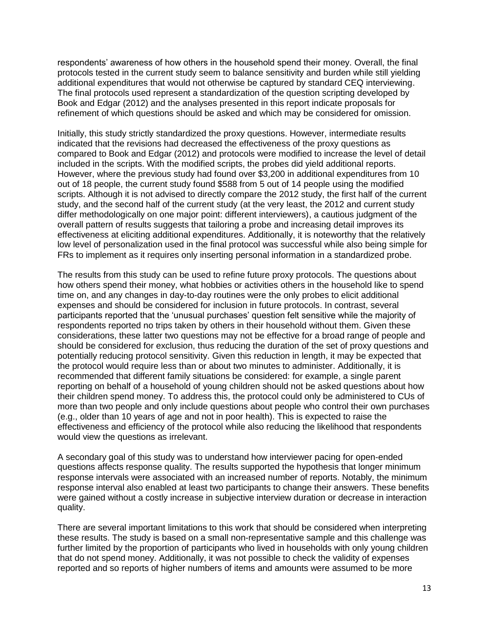respondents' awareness of how others in the household spend their money. Overall, the final protocols tested in the current study seem to balance sensitivity and burden while still yielding additional expenditures that would not otherwise be captured by standard CEQ interviewing. The final protocols used represent a standardization of the question scripting developed by Book and Edgar (2012) and the analyses presented in this report indicate proposals for refinement of which questions should be asked and which may be considered for omission.

Initially, this study strictly standardized the proxy questions. However, intermediate results indicated that the revisions had decreased the effectiveness of the proxy questions as compared to Book and Edgar (2012) and protocols were modified to increase the level of detail included in the scripts. With the modified scripts, the probes did yield additional reports. However, where the previous study had found over \$3,200 in additional expenditures from 10 out of 18 people, the current study found \$588 from 5 out of 14 people using the modified scripts. Although it is not advised to directly compare the 2012 study, the first half of the current study, and the second half of the current study (at the very least, the 2012 and current study differ methodologically on one major point: different interviewers), a cautious judgment of the overall pattern of results suggests that tailoring a probe and increasing detail improves its effectiveness at eliciting additional expenditures. Additionally, it is noteworthy that the relatively low level of personalization used in the final protocol was successful while also being simple for FRs to implement as it requires only inserting personal information in a standardized probe.

The results from this study can be used to refine future proxy protocols. The questions about how others spend their money, what hobbies or activities others in the household like to spend time on, and any changes in day-to-day routines were the only probes to elicit additional expenses and should be considered for inclusion in future protocols. In contrast, several participants reported that the 'unusual purchases' question felt sensitive while the majority of respondents reported no trips taken by others in their household without them. Given these considerations, these latter two questions may not be effective for a broad range of people and should be considered for exclusion, thus reducing the duration of the set of proxy questions and potentially reducing protocol sensitivity. Given this reduction in length, it may be expected that the protocol would require less than or about two minutes to administer. Additionally, it is recommended that different family situations be considered: for example, a single parent reporting on behalf of a household of young children should not be asked questions about how their children spend money. To address this, the protocol could only be administered to CUs of more than two people and only include questions about people who control their own purchases (e.g., older than 10 years of age and not in poor health). This is expected to raise the effectiveness and efficiency of the protocol while also reducing the likelihood that respondents would view the questions as irrelevant.

A secondary goal of this study was to understand how interviewer pacing for open-ended questions affects response quality. The results supported the hypothesis that longer minimum response intervals were associated with an increased number of reports. Notably, the minimum response interval also enabled at least two participants to change their answers. These benefits were gained without a costly increase in subjective interview duration or decrease in interaction quality.

There are several important limitations to this work that should be considered when interpreting these results. The study is based on a small non-representative sample and this challenge was further limited by the proportion of participants who lived in households with only young children that do not spend money. Additionally, it was not possible to check the validity of expenses reported and so reports of higher numbers of items and amounts were assumed to be more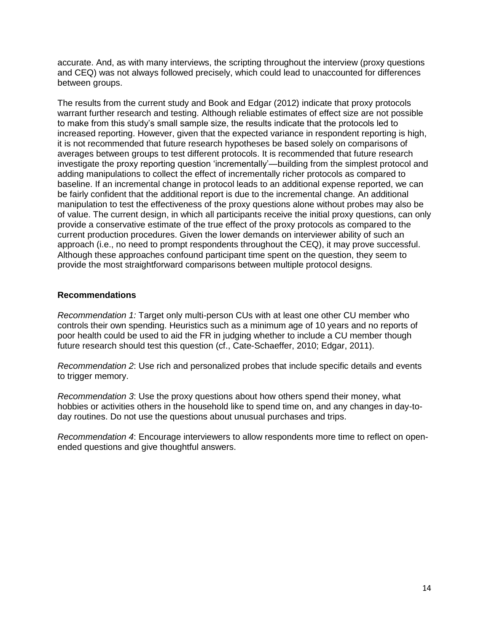accurate. And, as with many interviews, the scripting throughout the interview (proxy questions and CEQ) was not always followed precisely, which could lead to unaccounted for differences between groups.

The results from the current study and Book and Edgar (2012) indicate that proxy protocols warrant further research and testing. Although reliable estimates of effect size are not possible to make from this study's small sample size, the results indicate that the protocols led to increased reporting. However, given that the expected variance in respondent reporting is high, it is not recommended that future research hypotheses be based solely on comparisons of averages between groups to test different protocols. It is recommended that future research investigate the proxy reporting question 'incrementally'—building from the simplest protocol and adding manipulations to collect the effect of incrementally richer protocols as compared to baseline. If an incremental change in protocol leads to an additional expense reported, we can be fairly confident that the additional report is due to the incremental change. An additional manipulation to test the effectiveness of the proxy questions alone without probes may also be of value. The current design, in which all participants receive the initial proxy questions, can only provide a conservative estimate of the true effect of the proxy protocols as compared to the current production procedures. Given the lower demands on interviewer ability of such an approach (i.e., no need to prompt respondents throughout the CEQ), it may prove successful. Although these approaches confound participant time spent on the question, they seem to provide the most straightforward comparisons between multiple protocol designs.

# **Recommendations**

*Recommendation 1:* Target only multi-person CUs with at least one other CU member who controls their own spending. Heuristics such as a minimum age of 10 years and no reports of poor health could be used to aid the FR in judging whether to include a CU member though future research should test this question (cf., Cate-Schaeffer, 2010; Edgar, 2011).

*Recommendation 2*: Use rich and personalized probes that include specific details and events to trigger memory.

*Recommendation 3*: Use the proxy questions about how others spend their money, what hobbies or activities others in the household like to spend time on, and any changes in day-today routines. Do not use the questions about unusual purchases and trips.

*Recommendation 4*: Encourage interviewers to allow respondents more time to reflect on openended questions and give thoughtful answers.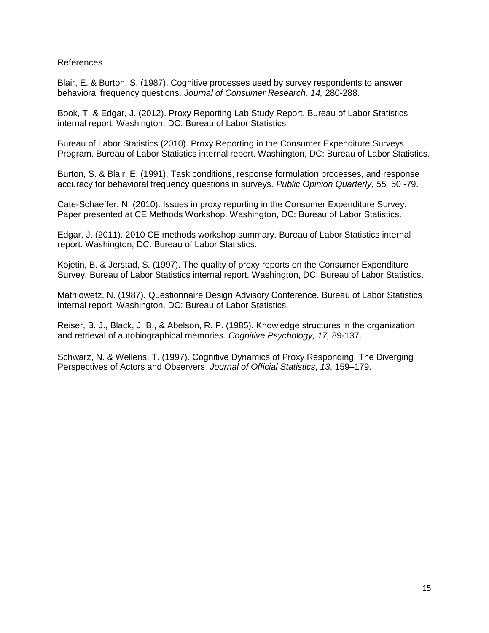## References

Blair, E. & Burton, S. (1987). Cognitive processes used by survey respondents to answer behavioral frequency questions. *Journal of Consumer Research, 14,* 280-288.

Book, T. & Edgar, J. (2012). Proxy Reporting Lab Study Report. Bureau of Labor Statistics internal report. Washington, DC: Bureau of Labor Statistics.

Bureau of Labor Statistics (2010). Proxy Reporting in the Consumer Expenditure Surveys Program. Bureau of Labor Statistics internal report. Washington, DC: Bureau of Labor Statistics.

Burton, S. & Blair, E. (1991). Task conditions, response formulation processes, and response accuracy for behavioral frequency questions in surveys. *Public Opinion Quarterly, 55,* 50 -79.

Cate-Schaeffer, N. (2010). Issues in proxy reporting in the Consumer Expenditure Survey. Paper presented at CE Methods Workshop. Washington, DC: Bureau of Labor Statistics.

Edgar, J. (2011). 2010 CE methods workshop summary. Bureau of Labor Statistics internal report. Washington, DC: Bureau of Labor Statistics.

Kojetin, B. & Jerstad, S. (1997). The quality of proxy reports on the Consumer Expenditure Survey. Bureau of Labor Statistics internal report. Washington, DC: Bureau of Labor Statistics.

Mathiowetz, N. (1987). Questionnaire Design Advisory Conference. Bureau of Labor Statistics internal report. Washington, DC: Bureau of Labor Statistics.

Reiser, B. J., Black, J. B., & Abelson, R. P. (1985). Knowledge structures in the organization and retrieval of autobiographical memories. *Cognitive Psychology, 17,* 89-137.

Schwarz, N. & Wellens, T. (1997). Cognitive Dynamics of Proxy Responding: The Diverging Perspectives of Actors and Observers *Journal of Official Statistics*, *13*, 159–179.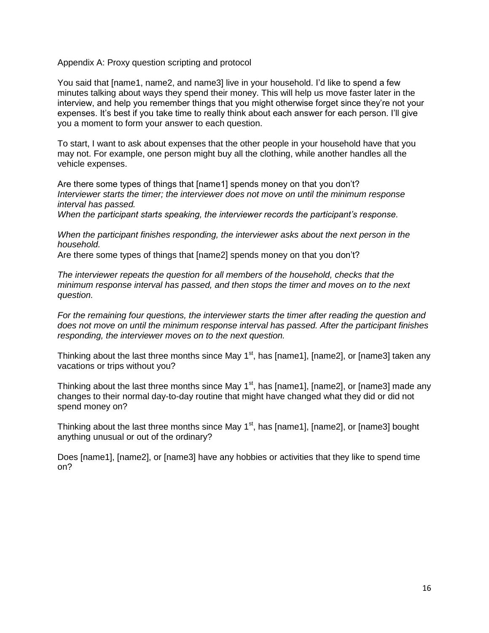Appendix A: Proxy question scripting and protocol

You said that [name1, name2, and name3] live in your household. I'd like to spend a few minutes talking about ways they spend their money. This will help us move faster later in the interview, and help you remember things that you might otherwise forget since they're not your expenses. It's best if you take time to really think about each answer for each person. I'll give you a moment to form your answer to each question.

To start, I want to ask about expenses that the other people in your household have that you may not. For example, one person might buy all the clothing, while another handles all the vehicle expenses.

Are there some types of things that [name1] spends money on that you don't? *Interviewer starts the timer; the interviewer does not move on until the minimum response interval has passed.*

*When the participant starts speaking, the interviewer records the participant's response.*

*When the participant finishes responding, the interviewer asks about the next person in the household.* 

Are there some types of things that [name2] spends money on that you don't?

*The interviewer repeats the question for all members of the household, checks that the minimum response interval has passed, and then stops the timer and moves on to the next question.*

*For the remaining four questions, the interviewer starts the timer after reading the question and does not move on until the minimum response interval has passed. After the participant finishes responding, the interviewer moves on to the next question.*

Thinking about the last three months since May  $1<sup>st</sup>$ , has [name1], [name2], or [name3] taken any vacations or trips without you?

Thinking about the last three months since May  $1<sup>st</sup>$ , has [name1], [name2], or [name3] made any changes to their normal day-to-day routine that might have changed what they did or did not spend money on?

Thinking about the last three months since May  $1<sup>st</sup>$ , has [name1], [name2], or [name3] bought anything unusual or out of the ordinary?

Does [name1], [name2], or [name3] have any hobbies or activities that they like to spend time on?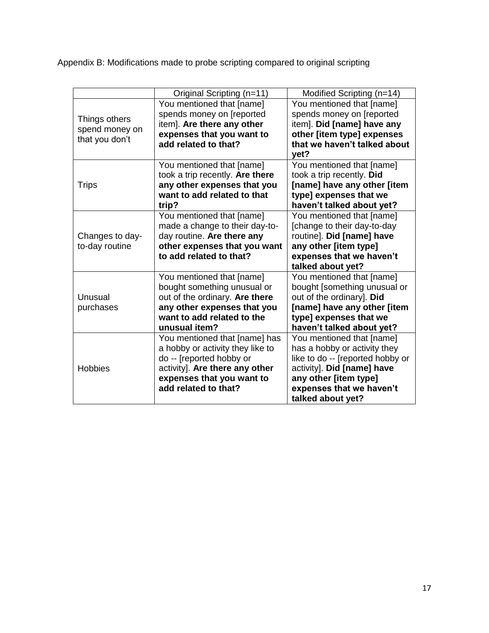Appendix B: Modifications made to probe scripting compared to original scripting

|                                                   | Original Scripting (n=11)                               | Modified Scripting (n=14)                      |
|---------------------------------------------------|---------------------------------------------------------|------------------------------------------------|
| Things others<br>spend money on<br>that you don't | You mentioned that [name]                               | You mentioned that [name]                      |
|                                                   | spends money on [reported                               | spends money on [reported                      |
|                                                   | item]. Are there any other                              | item]. Did [name] have any                     |
|                                                   | expenses that you want to                               | other [item type] expenses                     |
|                                                   | add related to that?                                    | that we haven't talked about                   |
|                                                   |                                                         | yet?                                           |
| <b>Trips</b>                                      | You mentioned that [name]                               | You mentioned that [name]                      |
|                                                   | took a trip recently. Are there                         | took a trip recently. Did                      |
|                                                   | any other expenses that you                             | [name] have any other [item                    |
|                                                   | want to add related to that                             | type] expenses that we                         |
|                                                   | trip?                                                   | haven't talked about yet?                      |
|                                                   | You mentioned that [name]                               | You mentioned that [name]                      |
|                                                   | made a change to their day-to-                          | [change to their day-to-day                    |
| Changes to day-                                   | day routine. Are there any                              | routine]. Did [name] have                      |
| to-day routine                                    | other expenses that you want<br>to add related to that? | any other [item type]                          |
|                                                   |                                                         | expenses that we haven't                       |
|                                                   | You mentioned that [name]                               | talked about yet?<br>You mentioned that [name] |
|                                                   | bought something unusual or                             | bought [something unusual or                   |
| Unusual                                           | out of the ordinary. Are there                          | out of the ordinary]. Did                      |
| purchases                                         | any other expenses that you                             | [name] have any other [item                    |
|                                                   | want to add related to the                              | type] expenses that we                         |
|                                                   | unusual item?                                           | haven't talked about yet?                      |
| <b>Hobbies</b>                                    | You mentioned that [name] has                           | You mentioned that [name]                      |
|                                                   | a hobby or activity they like to                        | has a hobby or activity they                   |
|                                                   | do -- [reported hobby or                                | like to do -- [reported hobby or               |
|                                                   | activity]. Are there any other                          | activity]. Did [name] have                     |
|                                                   | expenses that you want to                               | any other [item type]                          |
|                                                   | add related to that?                                    | expenses that we haven't                       |
|                                                   |                                                         | talked about yet?                              |